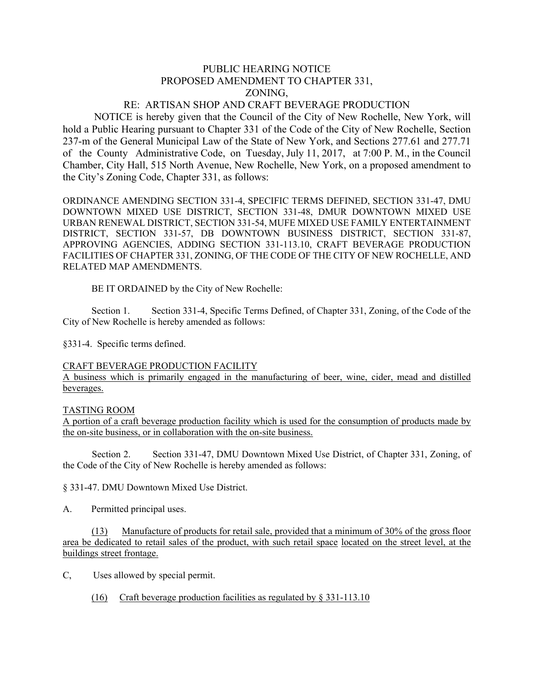# PUBLIC HEARING NOTICE PROPOSED AMENDMENT TO CHAPTER 331, ZONING,

## RE: ARTISAN SHOP AND CRAFT BEVERAGE PRODUCTION

NOTICE is hereby given that the Council of the City of New Rochelle, New York, will hold a Public Hearing pursuant to Chapter 331 of the Code of the City of New Rochelle, Section 237-m of the General Municipal Law of the State of New York, and Sections 277.61 and 277.71 of the County Administrative Code, on Tuesday, July 11, 2017, at 7:00 P. M., in the Council Chamber, City Hall, 515 North Avenue, New Rochelle, New York, on a proposed amendment to the City's Zoning Code, Chapter 331, as follows:

ORDINANCE AMENDING SECTION 331-4, SPECIFIC TERMS DEFINED, SECTION 331-47, DMU DOWNTOWN MIXED USE DISTRICT, SECTION 331-48, DMUR DOWNTOWN MIXED USE URBAN RENEWAL DISTRICT, SECTION 331-54, MUFE MIXED USE FAMILY ENTERTAINMENT DISTRICT, SECTION 331-57, DB DOWNTOWN BUSINESS DISTRICT, SECTION 331-87, APPROVING AGENCIES, ADDING SECTION 331-113.10, CRAFT BEVERAGE PRODUCTION FACILITIES OF CHAPTER 331, ZONING, OF THE CODE OF THE CITY OF NEW ROCHELLE, AND RELATED MAP AMENDMENTS.

BE IT ORDAINED by the City of New Rochelle:

 Section 1. Section 331-4, Specific Terms Defined, of Chapter 331, Zoning, of the Code of the City of New Rochelle is hereby amended as follows:

§331-4. Specific terms defined.

#### CRAFT BEVERAGE PRODUCTION FACILITY

A business which is primarily engaged in the manufacturing of beer, wine, cider, mead and distilled beverages.

#### TASTING ROOM

A portion of a craft beverage production facility which is used for the consumption of products made by the on-site business, or in collaboration with the on-site business.

 Section 2. Section 331-47, DMU Downtown Mixed Use District, of Chapter 331, Zoning, of the Code of the City of New Rochelle is hereby amended as follows:

§ 331-47. DMU Downtown Mixed Use District.

A. Permitted principal uses.

 (13) Manufacture of products for retail sale, provided that a minimum of 30% of the gross floor area be dedicated to retail sales of the product, with such retail space located on the street level, at the buildings street frontage.

C, Uses allowed by special permit.

(16) Craft beverage production facilities as regulated by § 331-113.10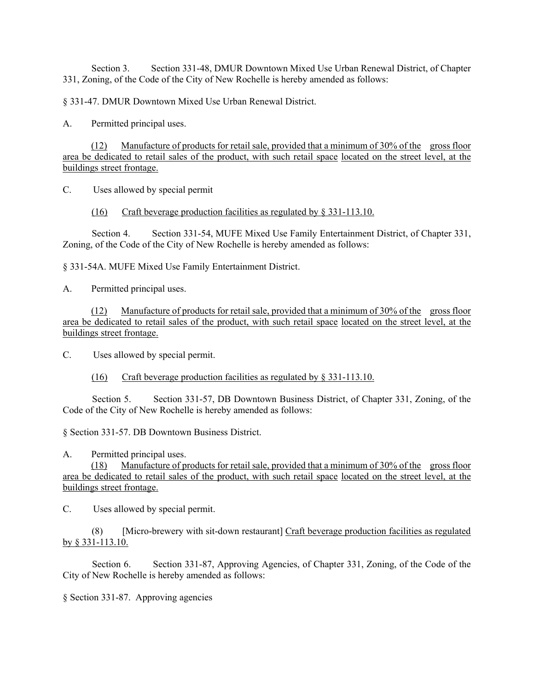Section 3. Section 331-48, DMUR Downtown Mixed Use Urban Renewal District, of Chapter 331, Zoning, of the Code of the City of New Rochelle is hereby amended as follows:

§ 331-47. DMUR Downtown Mixed Use Urban Renewal District.

A. Permitted principal uses.

 (12) Manufacture of products for retail sale, provided that a minimum of 30% of the gross floor area be dedicated to retail sales of the product, with such retail space located on the street level, at the buildings street frontage.

C. Uses allowed by special permit

(16) Craft beverage production facilities as regulated by § 331-113.10.

 Section 4. Section 331-54, MUFE Mixed Use Family Entertainment District, of Chapter 331, Zoning, of the Code of the City of New Rochelle is hereby amended as follows:

§ 331-54A. MUFE Mixed Use Family Entertainment District.

A. Permitted principal uses.

 (12) Manufacture of products for retail sale, provided that a minimum of 30% of the gross floor area be dedicated to retail sales of the product, with such retail space located on the street level, at the buildings street frontage.

C. Uses allowed by special permit.

(16) Craft beverage production facilities as regulated by § 331-113.10.

 Section 5. Section 331-57, DB Downtown Business District, of Chapter 331, Zoning, of the Code of the City of New Rochelle is hereby amended as follows:

§ Section 331-57. DB Downtown Business District.

A. Permitted principal uses.

 (18) Manufacture of products for retail sale, provided that a minimum of 30% of the gross floor area be dedicated to retail sales of the product, with such retail space located on the street level, at the buildings street frontage.

C. Uses allowed by special permit.

 (8) [Micro-brewery with sit-down restaurant] Craft beverage production facilities as regulated by § 331-113.10.

 Section 6. Section 331-87, Approving Agencies, of Chapter 331, Zoning, of the Code of the City of New Rochelle is hereby amended as follows:

§ Section 331-87. Approving agencies